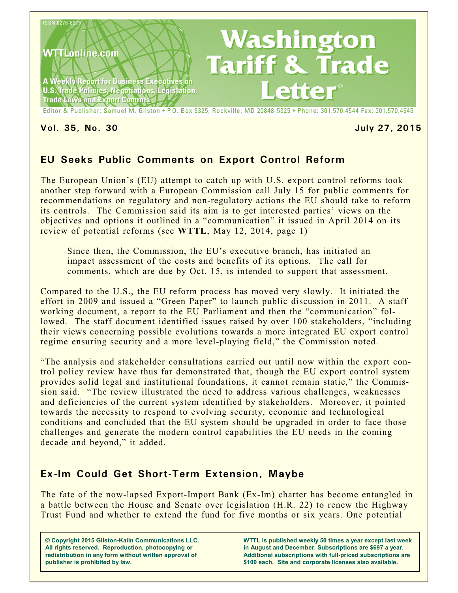

### **Vol. 35, No. 30 July 27, 2015**

# **EU Seeks Public Comments on Export Control Reform**

The European Union's (EU) attempt to catch up with U.S. export control reforms took another step forward with a European Commission call July 15 for public comments for recommendations on regulatory and non-regulatory actions the EU should take to reform its controls. The Commission said its aim is to get interested parties' views on the objectives and options it outlined in a "communication" it issued in April 2014 on its review of potential reforms (see **WTTL**, May 12, 2014, page 1)

Since then, the Commission, the EU's executive branch, has initiated an impact assessment of the costs and benefits of its options. The call for comments, which are due by Oct. 15, is intended to support that assessment.

Compared to the U.S., the EU reform process has moved very slowly. It initiated the effort in 2009 and issued a "Green Paper" to launch public discussion in 2011. A staff working document, a report to the EU Parliament and then the "communication" followed. The staff document identified issues raised by over 100 stakeholders, "including their views concerning possible evolutions towards a more integrated EU export control regime ensuring security and a more level-playing field," the Commission noted.

"The analysis and stakeholder consultations carried out until now within the export control policy review have thus far demonstrated that, though the EU export control system provides solid legal and institutional foundations, it cannot remain static," the Commission said. "The review illustrated the need to address various challenges, weaknesses and deficiencies of the current system identified by stakeholders. Moreover, it pointed towards the necessity to respond to evolving security, economic and technological conditions and concluded that the EU system should be upgraded in order to face those challenges and generate the modern control capabilities the EU needs in the coming decade and beyond," it added.

# **Ex-Im Could Get Short-Term Extension, Maybe**

The fate of the now-lapsed Export-Import Bank (Ex-Im) charter has become entangled in a battle between the House and Senate over legislation (H.R. 22) to renew the Highway Trust Fund and whether to extend the fund for five months or six years. One potential

**© Copyright 2015 Gilston-Kalin Communications LLC. All rights reserved. Reproduction, photocopying or redistribution in any form without written approval of publisher is prohibited by law.** 

**WTTL is published weekly 50 times a year except last week in August and December. Subscriptions are \$697 a year. Additional subscriptions with full-priced subscriptions are \$100 each. Site and corporate licenses also available.**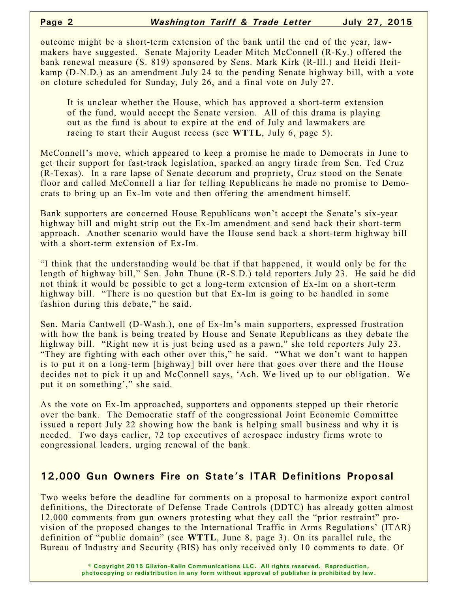outcome might be a short-term extension of the bank until the end of the year, lawmakers have suggested. Senate Majority Leader Mitch McConnell (R-Ky.) offered the bank renewal measure (S. 819) sponsored by Sens. Mark Kirk (R-Ill.) and Heidi Heitkamp (D-N.D.) as an amendment July 24 to the pending Senate highway bill, with a vote on cloture scheduled for Sunday, July 26, and a final vote on July 27.

It is unclear whether the House, which has approved a short-term extension of the fund, would accept the Senate version. All of this drama is playing out as the fund is about to expire at the end of July and lawmakers are racing to start their August recess (see **WTTL**, July 6, page 5).

McConnell's move, which appeared to keep a promise he made to Democrats in June to get their support for fast-track legislation, sparked an angry tirade from Sen. Ted Cruz (R-Texas). In a rare lapse of Senate decorum and propriety, Cruz stood on the Senate floor and called McConnell a liar for telling Republicans he made no promise to Democrats to bring up an Ex-Im vote and then offering the amendment himself.

Bank supporters are concerned House Republicans won't accept the Senate's six-year highway bill and might strip out the Ex-Im amendment and send back their short-term approach. Another scenario would have the House send back a short-term highway bill with a short-term extension of Ex-Im.

"I think that the understanding would be that if that happened, it would only be for the length of highway bill," Sen. John Thune (R-S.D.) told reporters July 23. He said he did not think it would be possible to get a long-term extension of Ex-Im on a short-term highway bill. "There is no question but that Ex-Im is going to be handled in some fashion during this debate," he said.

Sen. Maria Cantwell (D-Wash.), one of Ex-Im's main supporters, expressed frustration with how the bank is being treated by House and Senate Republicans as they debate the highway bill. "Right now it is just being used as a pawn," she told reporters July 23. "They are fighting with each other over this," he said. "What we don't want to happen is to put it on a long-term [highway] bill over here that goes over there and the House decides not to pick it up and McConnell says, 'Ach. We lived up to our obligation. We put it on something'," she said.

As the vote on Ex-Im approached, supporters and opponents stepped up their rhetoric over the bank. The Democratic staff of the congressional Joint Economic Committee issued a report July 22 showing how the bank is helping small business and why it is needed. Two days earlier, 72 top executives of aerospace industry firms wrote to congressional leaders, urging renewal of the bank.

### **12,000 Gun Owners Fire on State's ITAR Definitions Proposal**

Two weeks before the deadline for comments on a proposal to harmonize export control definitions, the Directorate of Defense Trade Controls (DDTC) has already gotten almost 12,000 comments from gun owners protesting what they call the "prior restraint" provision of the proposed changes to the International Traffic in Arms Regulations' (ITAR) definition of "public domain" (see **WTTL**, June 8, page 3). On its parallel rule, the Bureau of Industry and Security (BIS) has only received only 10 comments to date. Of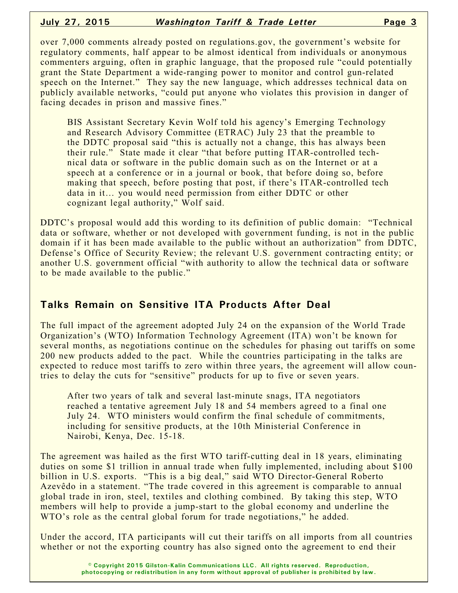over 7,000 comments already posted on regulations.gov, the government's website for regulatory comments, half appear to be almost identical from individuals or anonymous commenters arguing, often in graphic language, that the proposed rule "could potentially grant the State Department a wide-ranging power to monitor and control gun-related speech on the Internet." They say the new language, which addresses technical data on publicly available networks, "could put anyone who violates this provision in danger of facing decades in prison and massive fines."

BIS Assistant Secretary Kevin Wolf told his agency's Emerging Technology and Research Advisory Committee (ETRAC) July 23 that the preamble to the DDTC proposal said "this is actually not a change, this has always been their rule." State made it clear "that before putting ITAR-controlled technical data or software in the public domain such as on the Internet or at a speech at a conference or in a journal or book, that before doing so, before making that speech, before posting that post, if there's ITAR-controlled tech data in it… you would need permission from either DDTC or other cognizant legal authority," Wolf said.

DDTC's proposal would add this wording to its definition of public domain: "Technical data or software, whether or not developed with government funding, is not in the public domain if it has been made available to the public without an authorization" from DDTC, Defense's Office of Security Review; the relevant U.S. government contracting entity; or another U.S. government official "with authority to allow the technical data or software to be made available to the public."

## **Talks Remain on Sensitive ITA Products After Deal**

The full impact of the agreement adopted July 24 on the expansion of the World Trade Organization's (WTO) Information Technology Agreement (ITA) won't be known for several months, as negotiations continue on the schedules for phasing out tariffs on some 200 new products added to the pact. While the countries participating in the talks are expected to reduce most tariffs to zero within three years, the agreement will allow countries to delay the cuts for "sensitive" products for up to five or seven years.

After two years of talk and several last-minute snags, ITA negotiators reached a tentative agreement July 18 and 54 members agreed to a final one July 24. WTO ministers would confirm the final schedule of commitments, including for sensitive products, at the 10th Ministerial Conference in Nairobi, Kenya, Dec. 15-18.

The agreement was hailed as the first WTO tariff-cutting deal in 18 years, eliminating duties on some \$1 trillion in annual trade when fully implemented, including about \$100 billion in U.S. exports. "This is a big deal," said WTO Director-General Roberto Azevêdo in a statement. "The trade covered in this agreement is comparable to annual global trade in iron, steel, textiles and clothing combined. By taking this step, WTO members will help to provide a jump-start to the global economy and underline the WTO's role as the central global forum for trade negotiations," he added.

Under the accord, ITA participants will cut their tariffs on all imports from all countries whether or not the exporting country has also signed onto the agreement to end their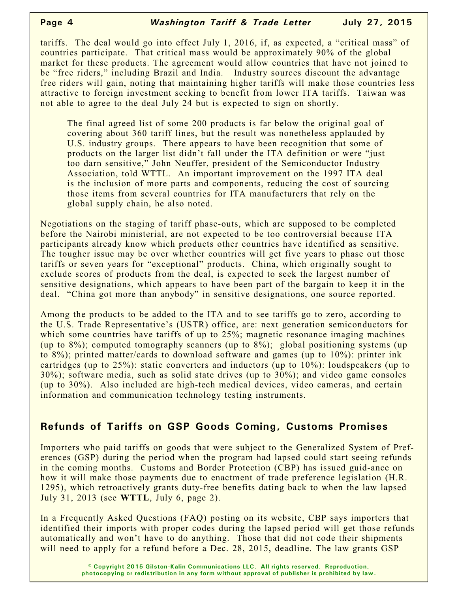tariffs. The deal would go into effect July 1, 2016, if, as expected, a "critical mass" of countries participate. That critical mass would be approximately 90% of the global market for these products. The agreement would allow countries that have not joined to be "free riders," including Brazil and India. Industry sources discount the advantage free riders will gain, noting that maintaining higher tariffs will make those countries less attractive to foreign investment seeking to benefit from lower ITA tariffs. Taiwan was not able to agree to the deal July 24 but is expected to sign on shortly.

The final agreed list of some 200 products is far below the original goal of covering about 360 tariff lines, but the result was nonetheless applauded by U.S. industry groups. There appears to have been recognition that some of products on the larger list didn't fall under the ITA definition or were "just too darn sensitive," John Neuffer, president of the Semiconductor Industry Association, told WTTL. An important improvement on the 1997 ITA deal is the inclusion of more parts and components, reducing the cost of sourcing those items from several countries for ITA manufacturers that rely on the global supply chain, he also noted.

Negotiations on the staging of tariff phase-outs, which are supposed to be completed before the Nairobi ministerial, are not expected to be too controversial because ITA participants already know which products other countries have identified as sensitive. The tougher issue may be over whether countries will get five years to phase out those tariffs or seven years for "exceptional" products. China, which originally sought to exclude scores of products from the deal, is expected to seek the largest number of sensitive designations, which appears to have been part of the bargain to keep it in the deal. "China got more than anybody" in sensitive designations, one source reported.

Among the products to be added to the ITA and to see tariffs go to zero, according to the U.S. Trade Representative's (USTR) office, are: next generation semiconductors for which some countries have tariffs of up to 25%; magnetic resonance imaging machines (up to 8%); computed tomography scanners (up to 8%); global positioning systems (up to 8%); printed matter/cards to download software and games (up to 10%): printer ink cartridges (up to 25%): static converters and inductors (up to 10%): loudspeakers (up to 30%); software media, such as solid state drives (up to 30%); and video game consoles (up to 30%). Also included are high-tech medical devices, video cameras, and certain information and communication technology testing instruments.

## **Refunds of Tariffs on GSP Goods Coming, Customs Promises**

Importers who paid tariffs on goods that were subject to the Generalized System of Preferences (GSP) during the period when the program had lapsed could start seeing refunds in the coming months. Customs and Border Protection (CBP) has issued guid-ance on how it will make those payments due to enactment of trade preference legislation (H.R. 1295), which retroactively grants duty-free benefits dating back to when the law lapsed July 31, 2013 (see **WTTL**, July 6, page 2).

In a Frequently Asked Questions (FAQ) posting on its website, CBP says importers that identified their imports with proper codes during the lapsed period will get those refunds automatically and won't have to do anything. Those that did not code their shipments will need to apply for a refund before a Dec. 28, 2015, deadline. The law grants GSP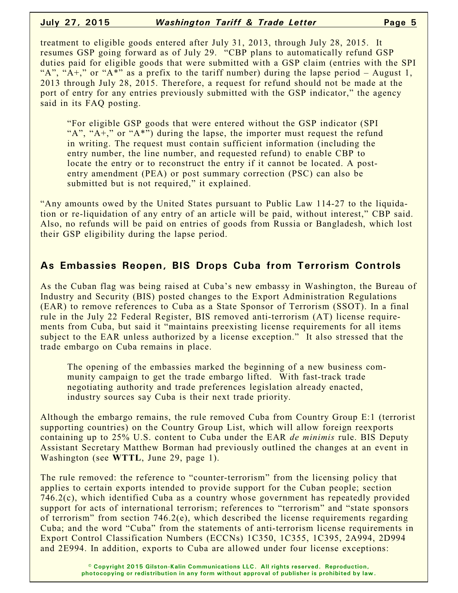#### **July 27, 2015** *Washington Tariff & Trade Letter* **Page 5**

treatment to eligible goods entered after July 31, 2013, through July 28, 2015. It resumes GSP going forward as of July 29. "CBP plans to automatically refund GSP duties paid for eligible goods that were submitted with a GSP claim (entries with the SPI "A", " $A^+$ ," or " $A^*$ " as a prefix to the tariff number) during the lapse period – August 1, 2013 through July 28, 2015. Therefore, a request for refund should not be made at the port of entry for any entries previously submitted with the GSP indicator," the agency said in its FAQ posting.

"For eligible GSP goods that were entered without the GSP indicator (SPI " $A$ ", " $A$ +," or " $A$ \*") during the lapse, the importer must request the refund in writing. The request must contain sufficient information (including the entry number, the line number, and requested refund) to enable CBP to locate the entry or to reconstruct the entry if it cannot be located. A postentry amendment (PEA) or post summary correction (PSC) can also be submitted but is not required," it explained.

"Any amounts owed by the United States pursuant to Public Law 114-27 to the liquidation or re-liquidation of any entry of an article will be paid, without interest," CBP said. Also, no refunds will be paid on entries of goods from Russia or Bangladesh, which lost their GSP eligibility during the lapse period.

## **As Embassies Reopen, BIS Drops Cuba from Terrorism Controls**

As the Cuban flag was being raised at Cuba's new embassy in Washington, the Bureau of Industry and Security (BIS) posted changes to the Export Administration Regulations (EAR) to remove references to Cuba as a State Sponsor of Terrorism (SSOT). In a final rule in the July 22 Federal Register, BIS removed anti-terrorism (AT) license requirements from Cuba, but said it "maintains preexisting license requirements for all items subject to the EAR unless authorized by a license exception." It also stressed that the trade embargo on Cuba remains in place.

The opening of the embassies marked the beginning of a new business community campaign to get the trade embargo lifted. With fast-track trade negotiating authority and trade preferences legislation already enacted, industry sources say Cuba is their next trade priority.

Although the embargo remains, the rule removed Cuba from Country Group E:1 (terrorist supporting countries) on the Country Group List, which will allow foreign reexports containing up to 25% U.S. content to Cuba under the EAR *de minimis* rule. BIS Deputy Assistant Secretary Matthew Borman had previously outlined the changes at an event in Washington (see **WTTL**, June 29, page 1).

The rule removed: the reference to "counter-terrorism" from the licensing policy that applies to certain exports intended to provide support for the Cuban people; section 746.2(c), which identified Cuba as a country whose government has repeatedly provided support for acts of international terrorism; references to "terrorism" and "state sponsors of terrorism" from section 746.2(e), which described the license requirements regarding Cuba; and the word "Cuba" from the statements of anti-terrorism license requirements in Export Control Classification Numbers (ECCNs) 1C350, 1C355, 1C395, 2A994, 2D994 and 2E994. In addition, exports to Cuba are allowed under four license exceptions: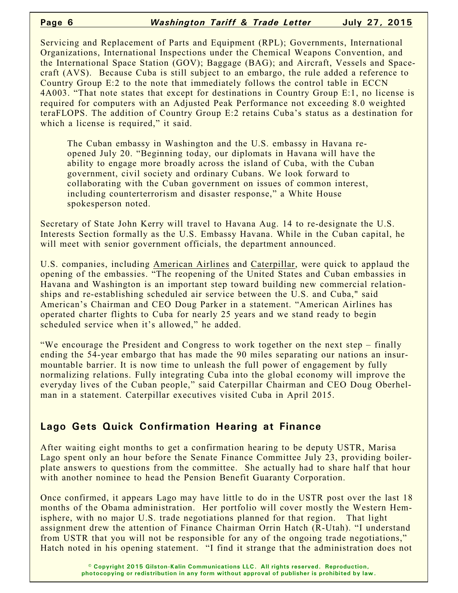Servicing and Replacement of Parts and Equipment (RPL); Governments, International Organizations, International Inspections under the Chemical Weapons Convention, and the International Space Station (GOV); Baggage (BAG); and Aircraft, Vessels and Spacecraft (AVS). Because Cuba is still subject to an embargo, the rule added a reference to Country Group E:2 to the note that immediately follows the control table in ECCN 4A003. "That note states that except for destinations in Country Group E:1, no license is required for computers with an Adjusted Peak Performance not exceeding 8.0 weighted teraFLOPS. The addition of Country Group E:2 retains Cuba's status as a destination for which a license is required," it said.

The Cuban embassy in Washington and the U.S. embassy in Havana reopened July 20. "Beginning today, our diplomats in Havana will have the ability to engage more broadly across the island of Cuba, with the Cuban government, civil society and ordinary Cubans. We look forward to collaborating with the Cuban government on issues of common interest, including counterterrorism and disaster response," a White House spokesperson noted.

Secretary of State John Kerry will travel to Havana Aug. 14 to re-designate the U.S. Interests Section formally as the U.S. Embassy Havana. While in the Cuban capital, he will meet with senior government officials, the department announced.

U.S. companies, including American Airlines and Caterpillar, were quick to applaud the opening of the embassies. "The reopening of the United States and Cuban embassies in Havana and Washington is an important step toward building new commercial relationships and re-establishing scheduled air service between the U.S. and Cuba," said American's Chairman and CEO Doug Parker in a statement. "American Airlines has operated charter flights to Cuba for nearly 25 years and we stand ready to begin scheduled service when it's allowed," he added.

"We encourage the President and Congress to work together on the next step – finally ending the 54-year embargo that has made the 90 miles separating our nations an insurmountable barrier. It is now time to unleash the full power of engagement by fully normalizing relations. Fully integrating Cuba into the global economy will improve the everyday lives of the Cuban people," said Caterpillar Chairman and CEO Doug Oberhelman in a statement. Caterpillar executives visited Cuba in April 2015.

# **Lago Gets Quick Confirmation Hearing at Finance**

After waiting eight months to get a confirmation hearing to be deputy USTR, Marisa Lago spent only an hour before the Senate Finance Committee July 23, providing boilerplate answers to questions from the committee. She actually had to share half that hour with another nominee to head the Pension Benefit Guaranty Corporation.

Once confirmed, it appears Lago may have little to do in the USTR post over the last 18 months of the Obama administration. Her portfolio will cover mostly the Western Hemisphere, with no major U.S. trade negotiations planned for that region. That light assignment drew the attention of Finance Chairman Orrin Hatch (R-Utah). "I understand from USTR that you will not be responsible for any of the ongoing trade negotiations," Hatch noted in his opening statement. "I find it strange that the administration does not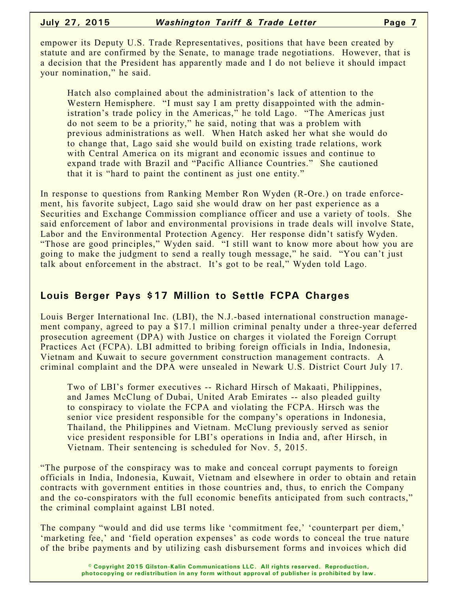empower its Deputy U.S. Trade Representatives, positions that have been created by statute and are confirmed by the Senate, to manage trade negotiations. However, that is a decision that the President has apparently made and I do not believe it should impact your nomination," he said.

Hatch also complained about the administration's lack of attention to the Western Hemisphere. "I must say I am pretty disappointed with the administration's trade policy in the Americas," he told Lago. "The Americas just do not seem to be a priority," he said, noting that was a problem with previous administrations as well. When Hatch asked her what she would do to change that, Lago said she would build on existing trade relations, work with Central America on its migrant and economic issues and continue to expand trade with Brazil and "Pacific Alliance Countries." She cautioned that it is "hard to paint the continent as just one entity."

In response to questions from Ranking Member Ron Wyden (R-Ore.) on trade enforcement, his favorite subject, Lago said she would draw on her past experience as a Securities and Exchange Commission compliance officer and use a variety of tools. She said enforcement of labor and environmental provisions in trade deals will involve State, Labor and the Environmental Protection Agency. Her response didn't satisfy Wyden. "Those are good principles," Wyden said. "I still want to know more about how you are going to make the judgment to send a really tough message," he said. "You can't just talk about enforcement in the abstract. It's got to be real," Wyden told Lago.

## **Louis Berger Pays \$17 Million to Settle FCPA Charges**

Louis Berger International Inc. (LBI), the N.J.-based international construction management company, agreed to pay a \$17.1 million criminal penalty under a three-year deferred prosecution agreement (DPA) with Justice on charges it violated the Foreign Corrupt Practices Act (FCPA). LBI admitted to bribing foreign officials in India, Indonesia, Vietnam and Kuwait to secure government construction management contracts. A criminal complaint and the DPA were unsealed in Newark U.S. District Court July 17.

Two of LBI's former executives -- Richard Hirsch of Makaati, Philippines, and James McClung of Dubai, United Arab Emirates -- also pleaded guilty to conspiracy to violate the FCPA and violating the FCPA. Hirsch was the senior vice president responsible for the company's operations in Indonesia, Thailand, the Philippines and Vietnam. McClung previously served as senior vice president responsible for LBI's operations in India and, after Hirsch, in Vietnam. Their sentencing is scheduled for Nov. 5, 2015.

"The purpose of the conspiracy was to make and conceal corrupt payments to foreign officials in India, Indonesia, Kuwait, Vietnam and elsewhere in order to obtain and retain contracts with government entities in those countries and, thus, to enrich the Company and the co-conspirators with the full economic benefits anticipated from such contracts," the criminal complaint against LBI noted.

The company "would and did use terms like 'commitment fee,' 'counterpart per diem,' 'marketing fee,' and 'field operation expenses' as code words to conceal the true nature of the bribe payments and by utilizing cash disbursement forms and invoices which did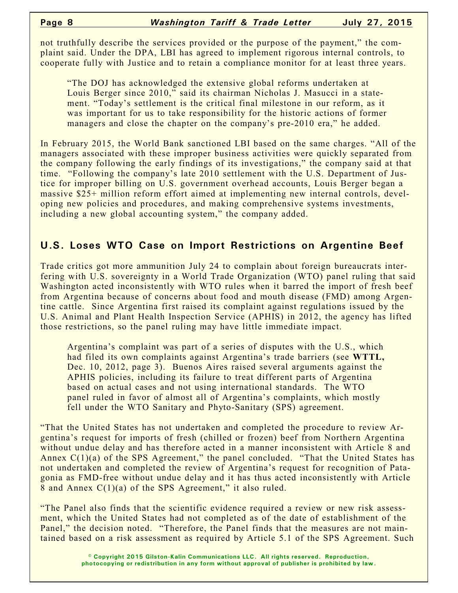not truthfully describe the services provided or the purpose of the payment," the complaint said. Under the DPA, LBI has agreed to implement rigorous internal controls, to cooperate fully with Justice and to retain a compliance monitor for at least three years.

"The DOJ has acknowledged the extensive global reforms undertaken at Louis Berger since 2010," said its chairman Nicholas J. Masucci in a statement. "Today's settlement is the critical final milestone in our reform, as it was important for us to take responsibility for the historic actions of former managers and close the chapter on the company's pre-2010 era," he added.

In February 2015, the World Bank sanctioned LBI based on the same charges. "All of the managers associated with these improper business activities were quickly separated from the company following the early findings of its investigations," the company said at that time. "Following the company's late 2010 settlement with the U.S. Department of Justice for improper billing on U.S. government overhead accounts, Louis Berger began a massive \$25+ million reform effort aimed at implementing new internal controls, developing new policies and procedures, and making comprehensive systems investments, including a new global accounting system," the company added.

## **U.S. Loses WTO Case on Import Restrictions on Argentine Beef**

Trade critics got more ammunition July 24 to complain about foreign bureaucrats interfering with U.S. sovereignty in a World Trade Organization (WTO) panel ruling that said Washington acted inconsistently with WTO rules when it barred the import of fresh beef from Argentina because of concerns about food and mouth disease (FMD) among Argentine cattle. Since Argentina first raised its complaint against regulations issued by the U.S. Animal and Plant Health Inspection Service (APHIS) in 2012, the agency has lifted those restrictions, so the panel ruling may have little immediate impact.

Argentina's complaint was part of a series of disputes with the U.S., which had filed its own complaints against Argentina's trade barriers (see **WTTL,** Dec. 10, 2012, page 3). Buenos Aires raised several arguments against the APHIS policies, including its failure to treat different parts of Argentina based on actual cases and not using international standards. The WTO panel ruled in favor of almost all of Argentina's complaints, which mostly fell under the WTO Sanitary and Phyto-Sanitary (SPS) agreement.

"That the United States has not undertaken and completed the procedure to review Argentina's request for imports of fresh (chilled or frozen) beef from Northern Argentina without undue delay and has therefore acted in a manner inconsistent with Article 8 and Annex  $C(1)(a)$  of the SPS Agreement," the panel concluded. "That the United States has not undertaken and completed the review of Argentina's request for recognition of Patagonia as FMD-free without undue delay and it has thus acted inconsistently with Article 8 and Annex C(1)(a) of the SPS Agreement," it also ruled.

"The Panel also finds that the scientific evidence required a review or new risk assessment, which the United States had not completed as of the date of establishment of the Panel," the decision noted. "Therefore, the Panel finds that the measures are not maintained based on a risk assessment as required by Article 5.1 of the SPS Agreement. Such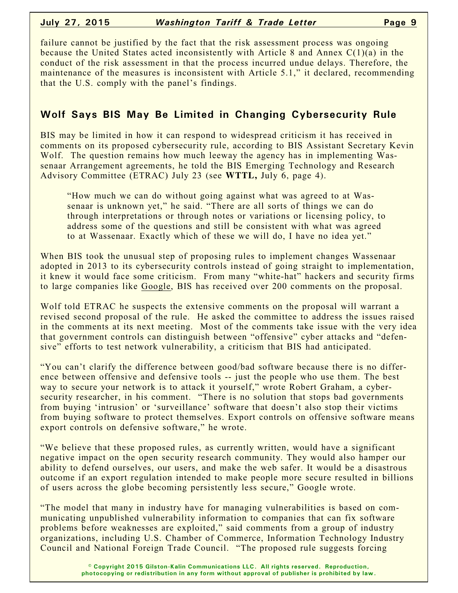#### **July 27, 2015** *Washington Tariff & Trade Letter* **Page 9**

failure cannot be justified by the fact that the risk assessment process was ongoing because the United States acted inconsistently with Article 8 and Annex  $C(1)(a)$  in the conduct of the risk assessment in that the process incurred undue delays. Therefore, the maintenance of the measures is inconsistent with Article 5.1," it declared, recommending that the U.S. comply with the panel's findings.

# **Wolf Says BIS May Be Limited in Changing Cybersecurity Rule**

BIS may be limited in how it can respond to widespread criticism it has received in comments on its proposed cybersecurity rule, according to BIS Assistant Secretary Kevin Wolf. The question remains how much leeway the agency has in implementing Wassenaar Arrangement agreements, he told the BIS Emerging Technology and Research Advisory Committee (ETRAC) July 23 (see **WTTL,** July 6, page 4).

"How much we can do without going against what was agreed to at Wassenaar is unknown yet," he said. "There are all sorts of things we can do through interpretations or through notes or variations or licensing policy, to address some of the questions and still be consistent with what was agreed to at Wassenaar. Exactly which of these we will do, I have no idea yet."

When BIS took the unusual step of proposing rules to implement changes Wassenaar adopted in 2013 to its cybersecurity controls instead of going straight to implementation, it knew it would face some criticism. From many "white-hat" hackers and security firms to large companies like Google, BIS has received over 200 comments on the proposal.

Wolf told ETRAC he suspects the extensive comments on the proposal will warrant a revised second proposal of the rule. He asked the committee to address the issues raised in the comments at its next meeting. Most of the comments take issue with the very idea that government controls can distinguish between "offensive" cyber attacks and "defensive" efforts to test network vulnerability, a criticism that BIS had anticipated.

"You can't clarify the difference between good/bad software because there is no difference between offensive and defensive tools -- just the people who use them. The best way to secure your network is to attack it yourself," wrote Robert Graham, a cybersecurity researcher, in his comment. "There is no solution that stops bad governments from buying 'intrusion' or 'surveillance' software that doesn't also stop their victims from buying software to protect themselves. Export controls on offensive software means export controls on defensive software," he wrote.

"We believe that these proposed rules, as currently written, would have a significant negative impact on the open security research community. They would also hamper our ability to defend ourselves, our users, and make the web safer. It would be a disastrous outcome if an export regulation intended to make people more secure resulted in billions of users across the globe becoming persistently less secure," Google wrote.

"The model that many in industry have for managing vulnerabilities is based on communicating unpublished vulnerability information to companies that can fix software problems before weaknesses are exploited," said comments from a group of industry organizations, including U.S. Chamber of Commerce, Information Technology Industry Council and National Foreign Trade Council. "The proposed rule suggests forcing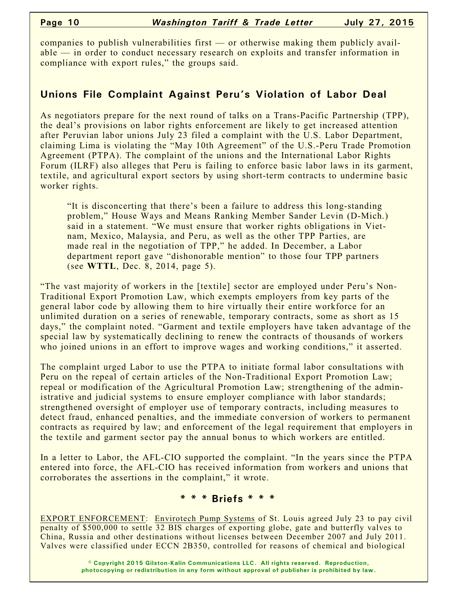companies to publish vulnerabilities first — or otherwise making them publicly available — in order to conduct necessary research on exploits and transfer information in compliance with export rules," the groups said.

# **Unions File Complaint Against Peru's Violation of Labor Deal**

As negotiators prepare for the next round of talks on a Trans-Pacific Partnership (TPP), the deal's provisions on labor rights enforcement are likely to get increased attention after Peruvian labor unions July 23 filed a complaint with the U.S. Labor Department, claiming Lima is violating the "May 10th Agreement" of the U.S.-Peru Trade Promotion Agreement (PTPA). The complaint of the unions and the International Labor Rights Forum (ILRF) also alleges that Peru is failing to enforce basic labor laws in its garment, textile, and agricultural export sectors by using short-term contracts to undermine basic worker rights.

"It is disconcerting that there's been a failure to address this long-standing problem," House Ways and Means Ranking Member Sander Levin (D-Mich.) said in a statement. "We must ensure that worker rights obligations in Vietnam, Mexico, Malaysia, and Peru, as well as the other TPP Parties, are made real in the negotiation of TPP," he added. In December, a Labor department report gave "dishonorable mention" to those four TPP partners (see **WTTL**, Dec. 8, 2014, page 5).

"The vast majority of workers in the [textile] sector are employed under Peru's Non-Traditional Export Promotion Law, which exempts employers from key parts of the general labor code by allowing them to hire virtually their entire workforce for an unlimited duration on a series of renewable, temporary contracts, some as short as 15 days," the complaint noted. "Garment and textile employers have taken advantage of the special law by systematically declining to renew the contracts of thousands of workers who joined unions in an effort to improve wages and working conditions," it asserted.

The complaint urged Labor to use the PTPA to initiate formal labor consultations with Peru on the repeal of certain articles of the Non-Traditional Export Promotion Law; repeal or modification of the Agricultural Promotion Law; strengthening of the administrative and judicial systems to ensure employer compliance with labor standards; strengthened oversight of employer use of temporary contracts, including measures to detect fraud, enhanced penalties, and the immediate conversion of workers to permanent contracts as required by law; and enforcement of the legal requirement that employers in the textile and garment sector pay the annual bonus to which workers are entitled.

In a letter to Labor, the AFL-CIO supported the complaint. "In the years since the PTPA entered into force, the AFL-CIO has received information from workers and unions that corroborates the assertions in the complaint," it wrote.

### **\* \* \* Briefs \* \* \***

EXPORT ENFORCEMENT: Envirotech Pump Systems of St. Louis agreed July 23 to pay civil penalty of \$500,000 to settle 32 BIS charges of exporting globe, gate and butterfly valves to China, Russia and other destinations without licenses between December 2007 and July 2011. Valves were classified under ECCN 2B350, controlled for reasons of chemical and biological